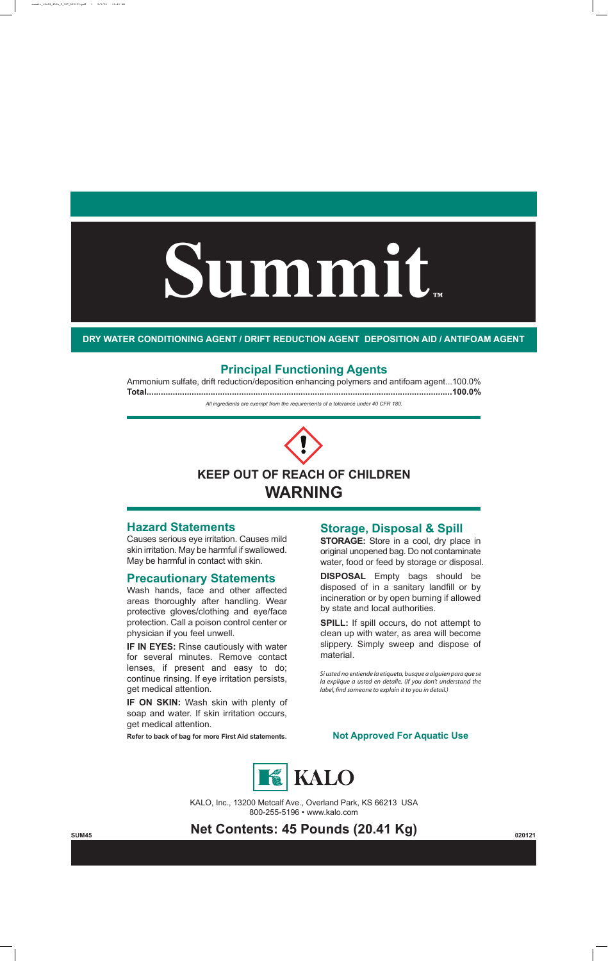# **Summit™**



### **Hazard Statements**

Causes serious eye irritation. Causes mild skin irritation. May be harmful if swallowed. May be harmful in contact with skin.

## **Precautionary Statements**

**IF IN EYES: Rinse cautiously with water** for several minutes. Remove contact lenses, if present and easy to do; continue rinsing. If eye irritation persists, get medical attention.

Wash hands, face and other affected areas thoroughly after handling. Wear protective gloves/clothing and eye/face protection. Call a poison control center or physician if you feel unwell.

**IF ON SKIN:** Wash skin with plenty of soap and water. If skin irritation occurs, get medical attention.

**Refer to back of bag for more First Aid statements.**

800-255-5196 • www.kalo.com







*Si usted no entiende la etiqueta, busque a alguien para que se la explique a usted en detalle. (If you don't understand the label, find someone to explain it to you in detail.)* 

#### **Principal Functioning Agents**

Ammonium sulfate, drift reduction/deposition enhancing polymers and antifoam agent...100.0% **Total.................................................................................................................................100.0%**

**DRY WATER CONDITIONING AGENT / DRIFT REDUCTION AGENT DEPOSITION AID / ANTIFOAM AGENT**

# **Storage, Disposal & Spill**

**STORAGE:** Store in a cool, dry place in original unopened bag. Do not contaminate water, food or feed by storage or disposal.

**DISPOSAL** Empty bags should be disposed of in a sanitary landfill or by incineration or by open burning if allowed by state and local authorities.

**SPILL:** If spill occurs, do not attempt to clean up with water, as area will become slippery. Simply sweep and dispose of material.

#### **Not Approved For Aquatic Use**



#### summit\_18x29\_45lb\_F\_327\_020121.pdf 1 2/1/21 11:41 AM